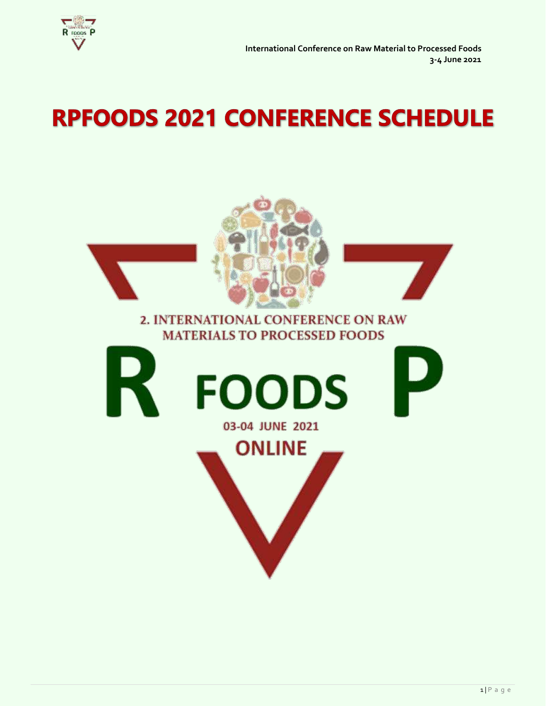

# **RPFOODS 2021 CONFERENCE SCHEDULE**

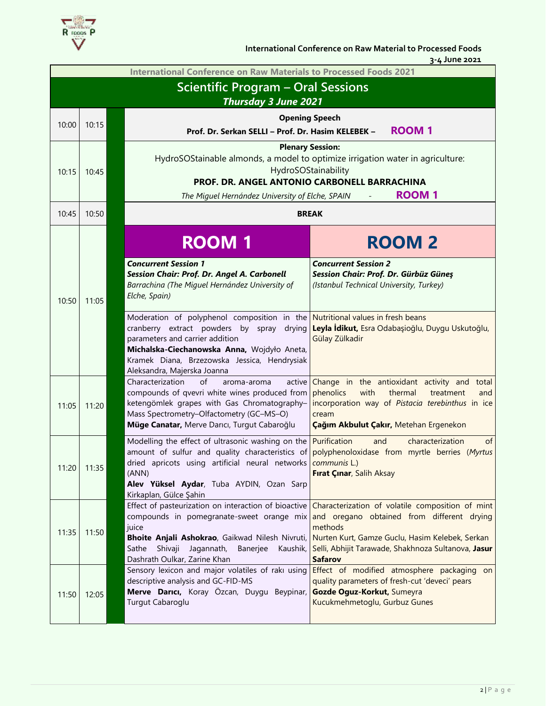

 **International Conference on Raw Material to Processed Foods**

 **3-4 June 2021**

|       | <b>International Conference on Raw Materials to Processed Foods 2021</b> |                                                                                                                                                                                                                                                                                             |                                                                                                                                                                                                                                                                                                                                      |  |  |  |
|-------|--------------------------------------------------------------------------|---------------------------------------------------------------------------------------------------------------------------------------------------------------------------------------------------------------------------------------------------------------------------------------------|--------------------------------------------------------------------------------------------------------------------------------------------------------------------------------------------------------------------------------------------------------------------------------------------------------------------------------------|--|--|--|
|       | <b>Scientific Program - Oral Sessions</b>                                |                                                                                                                                                                                                                                                                                             |                                                                                                                                                                                                                                                                                                                                      |  |  |  |
|       | <b>Thursday 3 June 2021</b>                                              |                                                                                                                                                                                                                                                                                             |                                                                                                                                                                                                                                                                                                                                      |  |  |  |
| 10:00 | 10:15                                                                    |                                                                                                                                                                                                                                                                                             | <b>Opening Speech</b>                                                                                                                                                                                                                                                                                                                |  |  |  |
|       |                                                                          | Prof. Dr. Serkan SELLI - Prof. Dr. Hasim KELEBEK -                                                                                                                                                                                                                                          | <b>ROOM1</b>                                                                                                                                                                                                                                                                                                                         |  |  |  |
|       |                                                                          |                                                                                                                                                                                                                                                                                             | <b>Plenary Session:</b><br>HydroSOStainable almonds, a model to optimize irrigation water in agriculture:                                                                                                                                                                                                                            |  |  |  |
| 10:15 | 10:45                                                                    |                                                                                                                                                                                                                                                                                             | HydroSOStainability                                                                                                                                                                                                                                                                                                                  |  |  |  |
|       |                                                                          |                                                                                                                                                                                                                                                                                             | PROF. DR. ANGEL ANTONIO CARBONELL BARRACHINA                                                                                                                                                                                                                                                                                         |  |  |  |
|       |                                                                          | The Miguel Hernández University of Elche, SPAIN                                                                                                                                                                                                                                             | <b>ROOM1</b>                                                                                                                                                                                                                                                                                                                         |  |  |  |
| 10:45 | 10:50                                                                    |                                                                                                                                                                                                                                                                                             | <b>BREAK</b>                                                                                                                                                                                                                                                                                                                         |  |  |  |
|       |                                                                          | <b>ROOM1</b>                                                                                                                                                                                                                                                                                | <b>ROOM 2</b>                                                                                                                                                                                                                                                                                                                        |  |  |  |
| 10:50 | 11:05                                                                    | <b>Concurrent Session 1</b><br>Session Chair: Prof. Dr. Angel A. Carbonell<br>Barrachina (The Miguel Hernández University of<br>Elche, Spain)                                                                                                                                               | <b>Concurrent Session 2</b><br>Session Chair: Prof. Dr. Gürbüz Güneş<br>(Istanbul Technical University, Turkey)                                                                                                                                                                                                                      |  |  |  |
|       |                                                                          | Moderation of polyphenol composition in the Nutritional values in fresh beans<br>cranberry extract powders by spray drying<br>parameters and carrier addition<br>Michalska-Ciechanowska Anna, Wojdyło Aneta,<br>Kramek Diana, Brzezowska Jessica, Hendrysiak<br>Aleksandra, Majerska Joanna | Leyla İdikut, Esra Odabaşioğlu, Duygu Uskutoğlu,<br>Gülay Zülkadir                                                                                                                                                                                                                                                                   |  |  |  |
| 11:05 | 11:20                                                                    | Characterization<br>of<br>active<br>aroma-aroma<br>compounds of qvevri white wines produced from<br>ketengömlek grapes with Gas Chromatography-<br>Mass Spectrometry-Olfactometry (GC-MS-O)<br>Müge Canatar, Merve Darıcı, Turgut Cabaroğlu                                                 | Change in the antioxidant activity and total<br>phenolics<br>with<br>thermal<br>treatment<br>and<br>incorporation way of Pistacia terebinthus in ice<br>cream<br>Çağım Akbulut Çakır, Metehan Ergenekon                                                                                                                              |  |  |  |
| 11:20 | 11:35                                                                    | Modelling the effect of ultrasonic washing on the Purification<br>dried apricots using artificial neural networks communis L.)<br>(ANN)<br>Alev Yüksel Aydar, Tuba AYDIN, Ozan Sarp<br>Kirkaplan, Gülce Şahin                                                                               | characterization<br>of<br>and<br>amount of sulfur and quality characteristics of polyphenoloxidase from myrtle berries (Myrtus<br>Firat Çinar, Salih Aksay                                                                                                                                                                           |  |  |  |
| 11:35 | 11:50                                                                    | juice<br>Bhoite Anjali Ashokrao, Gaikwad Nilesh Nivruti,<br>Sathe Shivaji Jagannath,<br>Banerjee<br>Kaushik,<br>Dashrath Oulkar, Zarine Khan                                                                                                                                                | Effect of pasteurization on interaction of bioactive Characterization of volatile composition of mint<br>compounds in pomegranate-sweet orange mix and oregano obtained from different drying<br>methods<br>Nurten Kurt, Gamze Guclu, Hasim Kelebek, Serkan<br>Selli, Abhijit Tarawade, Shakhnoza Sultanova, Jasur<br><b>Safarov</b> |  |  |  |
| 11:50 | 12:05                                                                    | Sensory lexicon and major volatiles of raki using<br>descriptive analysis and GC-FID-MS<br>Merve Darıcı, Koray Özcan, Duygu Beypinar,<br>Turgut Cabaroglu                                                                                                                                   | Effect of modified atmosphere packaging on<br>quality parameters of fresh-cut 'deveci' pears<br>Gozde Oguz-Korkut, Sumeyra<br>Kucukmehmetoglu, Gurbuz Gunes                                                                                                                                                                          |  |  |  |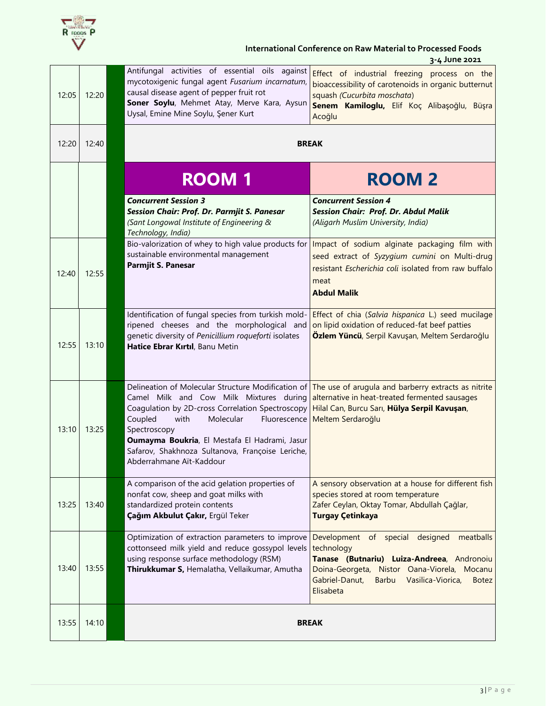

### **International Conference on Raw Material to Processed Foods 3-4 June 2021**

| 12:05 | 12:20 | Antifungal activities of essential oils against<br>mycotoxigenic fungal agent Fusarium incarnatum,<br>causal disease agent of pepper fruit rot<br>Soner Soylu, Mehmet Atay, Merve Kara, Aysun<br>Uysal, Emine Mine Soylu, Şener Kurt                                         | Effect of industrial freezing process on the<br>bioaccessibility of carotenoids in organic butternut<br>squash (Cucurbita moschata)<br>Senem Kamiloglu, Elif Koç Alibaşoğlu, Büşra<br>Acoğlu                                               |
|-------|-------|------------------------------------------------------------------------------------------------------------------------------------------------------------------------------------------------------------------------------------------------------------------------------|--------------------------------------------------------------------------------------------------------------------------------------------------------------------------------------------------------------------------------------------|
| 12:20 | 12:40 |                                                                                                                                                                                                                                                                              | <b>BREAK</b>                                                                                                                                                                                                                               |
|       |       | <b>ROOM 1</b>                                                                                                                                                                                                                                                                | <b>ROOM2</b>                                                                                                                                                                                                                               |
|       |       | <b>Concurrent Session 3</b><br>Session Chair: Prof. Dr. Parmjit S. Panesar<br>(Sant Longowal Institute of Engineering &<br>Technology, India)                                                                                                                                | <b>Concurrent Session 4</b><br><b>Session Chair: Prof. Dr. Abdul Malik</b><br>(Aligarh Muslim University, India)                                                                                                                           |
| 12:40 | 12:55 | Bio-valorization of whey to high value products for<br>sustainable environmental management<br><b>Parmjit S. Panesar</b>                                                                                                                                                     | Impact of sodium alginate packaging film with<br>seed extract of Syzygium cumini on Multi-drug<br>resistant Escherichia coli isolated from raw buffalo<br>meat<br><b>Abdul Malik</b>                                                       |
| 12:55 | 13:10 | Identification of fungal species from turkish mold-<br>ripened cheeses and the morphological and<br>genetic diversity of Penicillium roqueforti isolates<br>Hatice Ebrar Kırtıl, Banu Metin                                                                                  | Effect of chia (Salvia hispanica L.) seed mucilage<br>on lipid oxidation of reduced-fat beef patties<br>Özlem Yüncü, Serpil Kavuşan, Meltem Serdaroğlu                                                                                     |
| 13:10 | 13:25 | Camel Milk and Cow Milk Mixtures during<br>Coagulation by 2D-cross Correlation Spectroscopy<br>Coupled<br>with<br>Molecular<br>Spectroscopy<br>Oumayma Boukria, El Mestafa El Hadrami, Jasur<br>Safarov, Shakhnoza Sultanova, Françoise Leriche,<br>Abderrahmane Aït-Kaddour | Delineation of Molecular Structure Modification of The use of arugula and barberry extracts as nitrite<br>alternative in heat-treated fermented sausages<br>Hilal Can, Burcu Sarı, Hülya Serpil Kavuşan,<br>Fluorescence Meltem Serdaroğlu |
| 13:25 | 13:40 | A comparison of the acid gelation properties of<br>nonfat cow, sheep and goat milks with<br>standardized protein contents<br>Çağım Akbulut Çakır, Ergül Teker                                                                                                                | A sensory observation at a house for different fish<br>species stored at room temperature<br>Zafer Ceylan, Oktay Tomar, Abdullah Çağlar,<br><b>Turgay Çetinkaya</b>                                                                        |
| 13:40 | 13:55 | Optimization of extraction parameters to improve<br>cottonseed milk yield and reduce gossypol levels<br>using response surface methodology (RSM)<br>Thirukkumar S, Hemalatha, Vellaikumar, Amutha                                                                            | Development of special designed<br>meatballs<br>technology<br>Tanase (Butnariu) Luiza-Andreea, Andronoiu<br>Doina-Georgeta, Nistor Oana-Viorela, Mocanu<br>Gabriel-Danut,<br>Vasilica-Viorica,<br>Barbu<br><b>Botez</b><br>Elisabeta       |
| 13:55 | 14:10 |                                                                                                                                                                                                                                                                              | <b>BREAK</b>                                                                                                                                                                                                                               |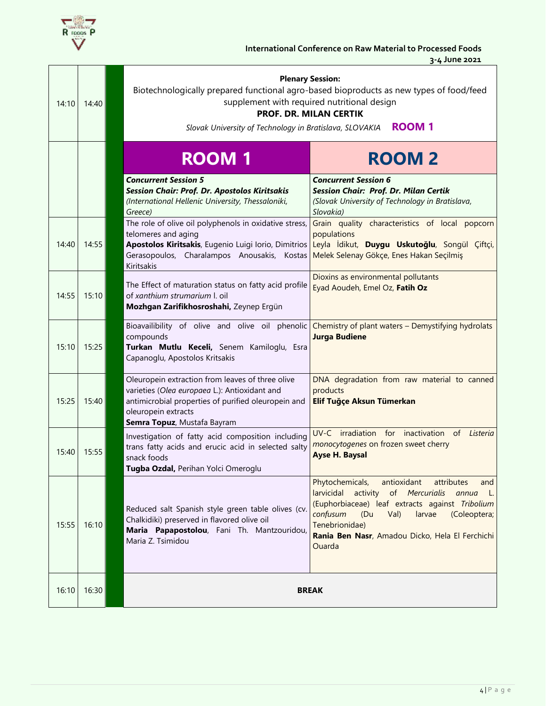

| 14:10 | 14:40 | <b>Plenary Session:</b><br>Biotechnologically prepared functional agro-based bioproducts as new types of food/feed<br>supplement with required nutritional design<br><b>PROF. DR. MILAN CERTIK</b><br><b>ROOM 1</b><br>Slovak University of Technology in Bratislava, SLOVAKIA |                                                                                                                                                                                                                                                                                                       |  |  |  |
|-------|-------|--------------------------------------------------------------------------------------------------------------------------------------------------------------------------------------------------------------------------------------------------------------------------------|-------------------------------------------------------------------------------------------------------------------------------------------------------------------------------------------------------------------------------------------------------------------------------------------------------|--|--|--|
|       |       | <b>ROOM1</b>                                                                                                                                                                                                                                                                   | <b>ROOM2</b>                                                                                                                                                                                                                                                                                          |  |  |  |
|       |       | <b>Concurrent Session 5</b><br>Session Chair: Prof. Dr. Apostolos Kiritsakis<br>(International Hellenic University, Thessaloniki,<br>Greece)                                                                                                                                   | <b>Concurrent Session 6</b><br>Session Chair: Prof. Dr. Milan Certik<br>(Slovak University of Technology in Bratislava,<br>Slovakia)                                                                                                                                                                  |  |  |  |
| 14:40 | 14:55 | The role of olive oil polyphenols in oxidative stress,<br>telomeres and aging<br>Gerasopoulos, Charalampos Anousakis, Kostas<br>Kiritsakis                                                                                                                                     | Grain quality characteristics of local popcorn<br>populations<br>Apostolos Kiritsakis, Eugenio Luigi Iorio, Dimitrios Leyla İdikut, Duygu Uskutoğlu, Songül Çiftçi,<br>Melek Selenay Gökçe, Enes Hakan Seçilmiş                                                                                       |  |  |  |
| 14:55 | 15:10 | The Effect of maturation status on fatty acid profile<br>of xanthium strumarium I. oil<br>Mozhgan Zarifikhosroshahi, Zeynep Ergün                                                                                                                                              | Dioxins as environmental pollutants<br>Eyad Aoudeh, Emel Oz, Fatih Oz                                                                                                                                                                                                                                 |  |  |  |
| 15:10 | 15:25 | Bioavailibility of olive and olive oil phenolic Chemistry of plant waters - Demystifying hydrolats<br>compounds<br>Turkan Mutlu Keceli, Senem Kamiloglu, Esra<br>Capanoglu, Apostolos Kritsakis                                                                                | <b>Jurga Budiene</b>                                                                                                                                                                                                                                                                                  |  |  |  |
| 15:25 | 15:40 | Oleuropein extraction from leaves of three olive<br>varieties (Olea europaea L.): Antioxidant and<br>antimicrobial properties of purified oleuropein and<br>oleuropein extracts<br>Semra Topuz, Mustafa Bayram                                                                 | DNA degradation from raw material to canned<br>products<br>Elif Tuğçe Aksun Tümerkan                                                                                                                                                                                                                  |  |  |  |
| 15:40 | 15:55 | Investigation of fatty acid composition including<br>trans fatty acids and erucic acid in selected salty<br>snack foods<br>Tugba Ozdal, Perihan Yolci Omeroglu                                                                                                                 | UV-C irradiation for inactivation of Listeria<br>monocytogenes on frozen sweet cherry<br><b>Ayse H. Baysal</b>                                                                                                                                                                                        |  |  |  |
| 15:55 | 16:10 | Reduced salt Spanish style green table olives (cv.<br>Chalkidiki) preserved in flavored olive oil<br>Maria Papapostolou, Fani Th. Mantzouridou,<br>Maria Z. Tsimidou                                                                                                           | Phytochemicals,<br>antioxidant<br>attributes<br>and<br>activity<br>larvicidal<br>of Mercurialis<br>annua<br>L.<br>(Euphorbiaceae) leaf extracts against Tribolium<br>confusum<br>(Du<br>Val)<br>larvae<br>(Coleoptera;<br>Tenebrionidae)<br>Rania Ben Nasr, Amadou Dicko, Hela El Ferchichi<br>Ouarda |  |  |  |
| 16:10 | 16:30 |                                                                                                                                                                                                                                                                                | <b>BREAK</b>                                                                                                                                                                                                                                                                                          |  |  |  |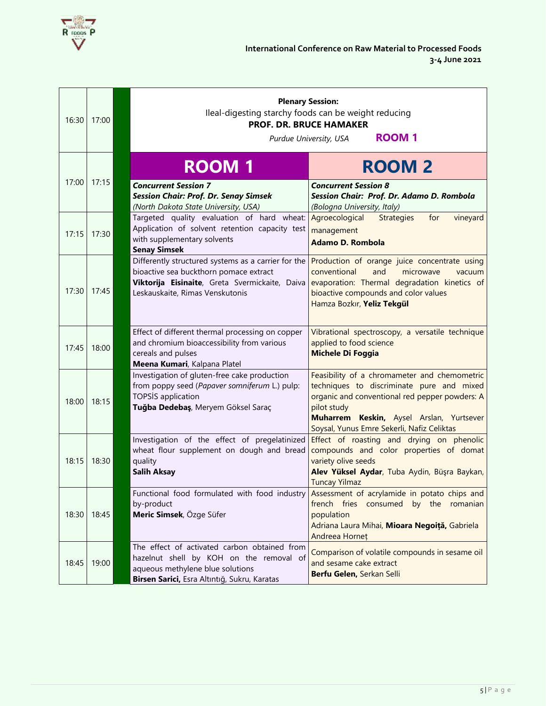

| 16:30 | 17:00 | <b>Plenary Session:</b><br>Ileal-digesting starchy foods can be weight reducing<br><b>PROF. DR. BRUCE HAMAKER</b><br><b>ROOM1</b><br>Purdue University, USA                 |                                                                                                                                                                                                                                                                 |  |
|-------|-------|-----------------------------------------------------------------------------------------------------------------------------------------------------------------------------|-----------------------------------------------------------------------------------------------------------------------------------------------------------------------------------------------------------------------------------------------------------------|--|
| 17:00 | 17:15 | <b>ROOM1</b><br><b>Concurrent Session 7</b><br><b>Session Chair: Prof. Dr. Senay Simsek</b><br>(North Dakota State University, USA)                                         | <b>ROOM2</b><br><b>Concurrent Session 8</b><br>Session Chair: Prof. Dr. Adamo D. Rombola<br>(Bologna University, Italy)                                                                                                                                         |  |
| 17:15 | 17:30 | Targeted quality evaluation of hard wheat: Agroecological<br>Application of solvent retention capacity test<br>with supplementary solvents<br><b>Senay Simsek</b>           | <b>Strategies</b><br>for<br>vineyard<br>management<br><b>Adamo D. Rombola</b>                                                                                                                                                                                   |  |
| 17:30 | 17:45 | Differently structured systems as a carrier for the<br>bioactive sea buckthorn pomace extract<br>Leskauskaite, Rimas Venskutonis                                            | Production of orange juice concentrate using<br>conventional<br>and<br>microwave<br>vacuum<br>Viktorija Eisinaite, Greta Svermickaite, Daiva evaporation: Thermal degradation kinetics of<br>bioactive compounds and color values<br>Hamza Bozkır, Yeliz Tekgül |  |
| 17:45 | 18:00 | Effect of different thermal processing on copper<br>and chromium bioaccessibility from various<br>cereals and pulses<br>Meena Kumari, Kalpana Platel                        | Vibrational spectroscopy, a versatile technique<br>applied to food science<br><b>Michele Di Foggia</b>                                                                                                                                                          |  |
| 18:00 | 18:15 | Investigation of gluten-free cake production<br>from poppy seed (Papaver somniferum L.) pulp:<br><b>TOPSIS</b> application<br>Tuğba Dedebaş, Meryem Göksel Saraç            | Feasibility of a chromameter and chemometric<br>techniques to discriminate pure and mixed<br>organic and conventional red pepper powders: A<br>pilot study<br>Muharrem Keskin, Aysel Arslan, Yurtsever<br>Soysal, Yunus Emre Sekerli, Nafiz Celiktas            |  |
| 18:15 | 18:30 | Investigation of the effect of pregelatinized<br>wheat flour supplement on dough and bread<br>quality<br><b>Salih Aksay</b>                                                 | Effect of roasting and drying on phenolic<br>compounds and color properties of domat<br>variety olive seeds<br>Alev Yüksel Aydar, Tuba Aydin, Büşra Baykan,<br><b>Tuncay Yilmaz</b>                                                                             |  |
| 18:30 | 18:45 | Functional food formulated with food industry<br>by-product<br>Meric Simsek, Özge Süfer                                                                                     | Assessment of acrylamide in potato chips and<br>french fries consumed by the romanian<br>population<br>Adriana Laura Mihai, Mioara Negoiță, Gabriela<br>Andreea Horneț                                                                                          |  |
| 18:45 | 19:00 | The effect of activated carbon obtained from<br>hazelnut shell by KOH on the removal of<br>aqueous methylene blue solutions<br>Birsen Sarici, Esra Altıntığ, Sukru, Karatas | Comparison of volatile compounds in sesame oil<br>and sesame cake extract<br>Berfu Gelen, Serkan Selli                                                                                                                                                          |  |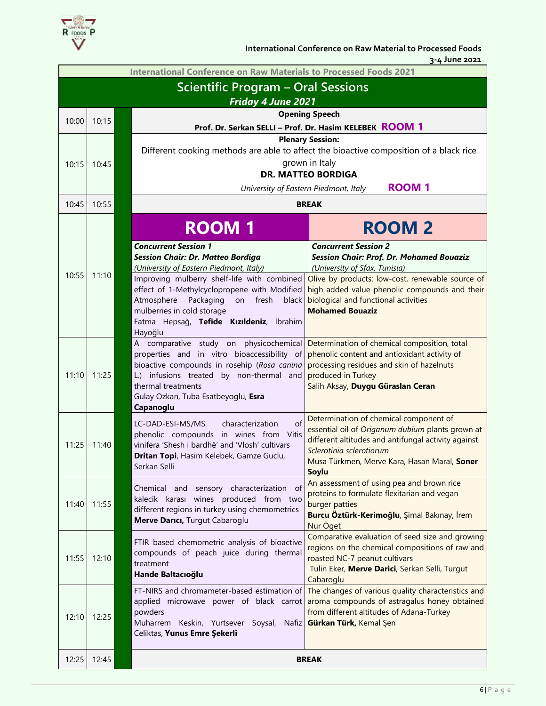

 **3-4 June 2021**

| <b>International Conference on Raw Materials to Processed Foods 2021</b> |                                           |  |                                                                                                                                                                                                                                                            |                                                                                                                                                                                                                                               |  |  |
|--------------------------------------------------------------------------|-------------------------------------------|--|------------------------------------------------------------------------------------------------------------------------------------------------------------------------------------------------------------------------------------------------------------|-----------------------------------------------------------------------------------------------------------------------------------------------------------------------------------------------------------------------------------------------|--|--|
|                                                                          | <b>Scientific Program - Oral Sessions</b> |  |                                                                                                                                                                                                                                                            |                                                                                                                                                                                                                                               |  |  |
|                                                                          | <b>Friday 4 June 2021</b>                 |  |                                                                                                                                                                                                                                                            |                                                                                                                                                                                                                                               |  |  |
| 10:00                                                                    | 10:15                                     |  | <b>Opening Speech</b>                                                                                                                                                                                                                                      |                                                                                                                                                                                                                                               |  |  |
|                                                                          |                                           |  | Prof. Dr. Serkan SELLI - Prof. Dr. Hasim KELEBEK ROOM 1                                                                                                                                                                                                    |                                                                                                                                                                                                                                               |  |  |
|                                                                          |                                           |  |                                                                                                                                                                                                                                                            | <b>Plenary Session:</b><br>Different cooking methods are able to affect the bioactive composition of a black rice<br>grown in Italy                                                                                                           |  |  |
| 10:15                                                                    | 10:45                                     |  |                                                                                                                                                                                                                                                            | <b>DR. MATTEO BORDIGA</b>                                                                                                                                                                                                                     |  |  |
|                                                                          |                                           |  | University of Eastern Piedmont, Italy                                                                                                                                                                                                                      | <b>ROOM1</b>                                                                                                                                                                                                                                  |  |  |
| 10:45                                                                    | 10:55                                     |  | <b>BREAK</b>                                                                                                                                                                                                                                               |                                                                                                                                                                                                                                               |  |  |
|                                                                          |                                           |  | <b>ROOM1</b>                                                                                                                                                                                                                                               | <b>ROOM 2</b>                                                                                                                                                                                                                                 |  |  |
| 10:55                                                                    | 11:10                                     |  | <b>Concurrent Session 1</b><br><b>Session Chair: Dr. Matteo Bordiga</b><br>(University of Eastern Piedmont, Italy)                                                                                                                                         | <b>Concurrent Session 2</b><br><b>Session Chair: Prof. Dr. Mohamed Bouaziz</b><br>(University of Sfax, Tunisia)                                                                                                                               |  |  |
|                                                                          |                                           |  | Improving mulberry shelf-life with combined<br>effect of 1-Methylcyclopropene with Modified<br>Atmosphere<br>Packaging<br>on fresh<br>black<br>mulberries in cold storage                                                                                  | Olive by products: low-cost, renewable source of<br>high added value phenolic compounds and their<br>biological and functional activities<br><b>Mohamed Bouaziz</b>                                                                           |  |  |
|                                                                          |                                           |  | Fatma Hepsağ, Tefide Kızıldeniz, İbrahim<br>Hayoğlu                                                                                                                                                                                                        |                                                                                                                                                                                                                                               |  |  |
| 11:10                                                                    | 11:25                                     |  | A comparative study on physicochemical<br>properties and in vitro bioaccessibility of<br>bioactive compounds in rosehip (Rosa canina<br>L.) infusions treated by non-thermal and<br>thermal treatments<br>Gulay Ozkan, Tuba Esatbeyoglu, Esra<br>Capanoglu | Determination of chemical composition, total<br>phenolic content and antioxidant activity of<br>processing residues and skin of hazelnuts<br>produced in Turkey<br>Salih Aksay, Duygu Güraslan Ceran                                          |  |  |
| 11:25                                                                    | 11:40                                     |  | of<br>LC-DAD-ESI-MS/MS<br>characterization<br>phenolic compounds in wines from Vitis<br>vinifera 'Shesh i bardhë' and 'Vlosh' cultivars<br>Dritan Topi, Hasim Kelebek, Gamze Guclu,<br>Serkan Selli                                                        | Determination of chemical component of<br>essential oil of Origanum dubium plants grown at<br>different altitudes and antifungal activity against<br>Sclerotinia sclerotiorum<br>Musa Türkmen, Merve Kara, Hasan Maral, Soner<br><b>Soylu</b> |  |  |
| 11:40                                                                    | 11:55                                     |  | Chemical and sensory characterization of<br>kalecik karası wines produced from two<br>different regions in turkey using chemometrics<br>Merve Darıcı, Turgut Cabaroglu                                                                                     | An assessment of using pea and brown rice<br>proteins to formulate flexitarian and vegan<br>burger patties<br>Burcu Öztürk-Kerimoğlu, Şimal Bakınay, İrem<br>Nur Öget                                                                         |  |  |
| 11:55                                                                    | 12:10                                     |  | FTIR based chemometric analysis of bioactive<br>compounds of peach juice during thermal<br>treatment<br>Hande Baltacıoğlu                                                                                                                                  | Comparative evaluation of seed size and growing<br>regions on the chemical compositions of raw and<br>roasted NC-7 peanut cultivars<br>Tulin Eker, Merve Darici, Serkan Selli, Turgut<br>Cabaroglu                                            |  |  |
| 12:10                                                                    | 12:25                                     |  | powders<br>Muharrem Keskin, Yurtsever Soysal, Nafiz Gürkan Türk, Kemal Şen<br>Celiktas, Yunus Emre Şekerli                                                                                                                                                 | FT-NIRS and chromameter-based estimation of The changes of various quality characteristics and<br>applied microwave power of black carrot aroma compounds of astragalus honey obtained<br>from different altitudes of Adana-Turkey            |  |  |
| 12:25                                                                    | 12:45                                     |  |                                                                                                                                                                                                                                                            | <b>BREAK</b>                                                                                                                                                                                                                                  |  |  |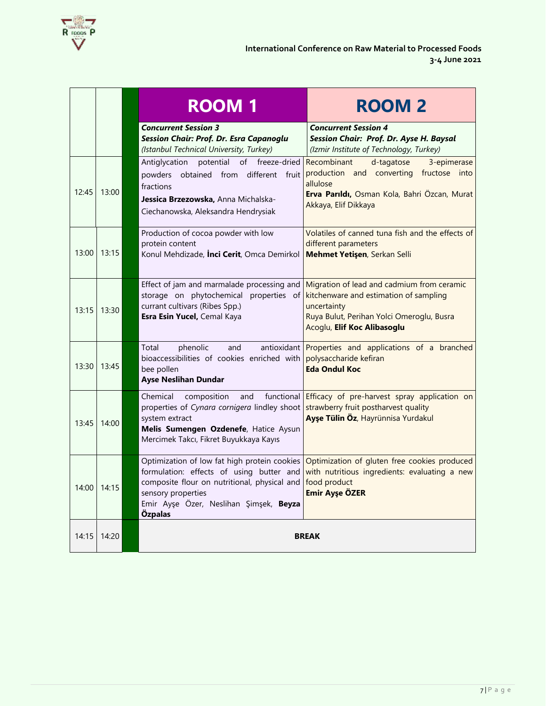

|       |       | <b>ROOM1</b>                                                                                                                                                                                                        | <b>ROOM 2</b>                                                                                                                                                                   |
|-------|-------|---------------------------------------------------------------------------------------------------------------------------------------------------------------------------------------------------------------------|---------------------------------------------------------------------------------------------------------------------------------------------------------------------------------|
|       |       | <b>Concurrent Session 3</b><br>Session Chair: Prof. Dr. Esra Capanoglu<br>(Istanbul Technical University, Turkey)                                                                                                   | <b>Concurrent Session 4</b><br>Session Chair: Prof. Dr. Ayse H. Baysal<br>(Izmir Institute of Technology, Turkey)                                                               |
| 12:45 | 13:00 | potential<br>of<br>freeze-dried<br>Antiglycation<br>powders obtained from different fruit<br>fractions<br>Jessica Brzezowska, Anna Michalska-<br>Ciechanowska, Aleksandra Hendrysiak                                | 3-epimerase<br>Recombinant<br>d-tagatose<br>production and converting fructose into<br>allulose<br>Erva Parıldı, Osman Kola, Bahri Özcan, Murat<br>Akkaya, Elif Dikkaya         |
| 13:00 | 13:15 | Production of cocoa powder with low<br>protein content<br>Konul Mehdizade, <i>inci Cerit</i> , Omca Demirkol                                                                                                        | Volatiles of canned tuna fish and the effects of<br>different parameters<br>Mehmet Yetişen, Serkan Selli                                                                        |
| 13:15 | 13:30 | Effect of jam and marmalade processing and<br>storage on phytochemical properties of<br>currant cultivars (Ribes Spp.)<br>Esra Esin Yucel, Cemal Kaya                                                               | Migration of lead and cadmium from ceramic<br>kitchenware and estimation of sampling<br>uncertainty<br>Ruya Bulut, Perihan Yolci Omeroglu, Busra<br>Acoglu, Elif Koc Alibasoglu |
| 13:30 | 13:45 | phenolic<br>and<br>antioxidant l<br>Total<br>bioaccessibilities of cookies enriched with<br>bee pollen<br><b>Ayse Neslihan Dundar</b>                                                                               | Properties and applications of a branched<br>polysaccharide kefiran<br><b>Eda Ondul Koc</b>                                                                                     |
| 13:45 | 14:00 | composition<br>functional<br>Chemical<br>and<br>properties of Cynara cornigera lindley shoot<br>system extract<br>Melis Sumengen Ozdenefe, Hatice Aysun<br>Mercimek Takcı, Fikret Buyukkaya Kayıs                   | Efficacy of pre-harvest spray application on<br>strawberry fruit postharvest quality<br>Ayşe Tülin Öz, Hayrünnisa Yurdakul                                                      |
| 14:00 | 14:15 | Optimization of low fat high protein cookies<br>formulation: effects of using butter and<br>composite flour on nutritional, physical and<br>sensory properties<br>Emir Ayşe Özer, Neslihan Şimşek, Beyza<br>Özpalas | Optimization of gluten free cookies produced<br>with nutritious ingredients: evaluating a new<br>food product<br><b>Emir Ayşe ÖZER</b>                                          |
| 14:15 | 14:20 |                                                                                                                                                                                                                     | <b>BREAK</b>                                                                                                                                                                    |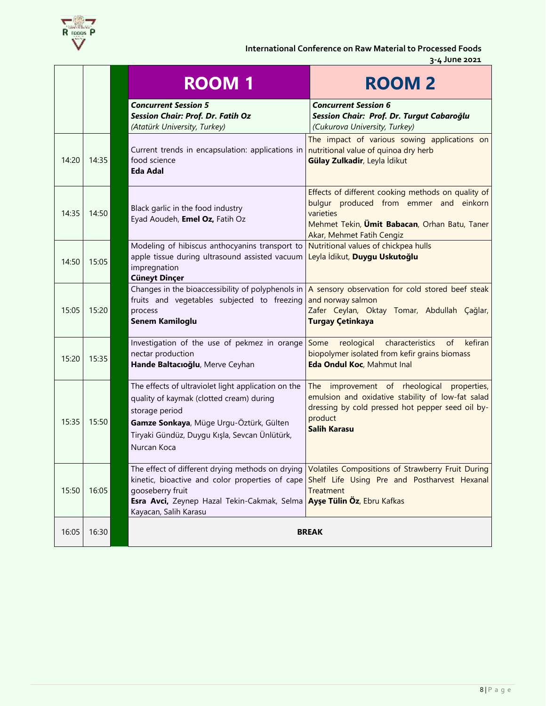

#### **International Conference on Raw Material to Processed Foods 3-4 June 2021**

|       |       | <b>ROOM1</b>                                                                                                                                                                                                                 | <b>ROOM2</b>                                                                                                                                                                                                    |
|-------|-------|------------------------------------------------------------------------------------------------------------------------------------------------------------------------------------------------------------------------------|-----------------------------------------------------------------------------------------------------------------------------------------------------------------------------------------------------------------|
|       |       | <b>Concurrent Session 5</b><br><b>Session Chair: Prof. Dr. Fatih Oz</b><br>(Atatürk University, Turkey)                                                                                                                      | <b>Concurrent Session 6</b><br>Session Chair: Prof. Dr. Turgut Cabaroğlu<br>(Cukurova University, Turkey)                                                                                                       |
| 14:20 | 14:35 | Current trends in encapsulation: applications in<br>food science<br><b>Eda Adal</b>                                                                                                                                          | The impact of various sowing applications on<br>nutritional value of quinoa dry herb<br>Gülay Zulkadir, Leyla İdikut                                                                                            |
| 14:35 | 14:50 | Black garlic in the food industry<br>Eyad Aoudeh, Emel Oz, Fatih Oz                                                                                                                                                          | Effects of different cooking methods on quality of<br>bulgur produced from emmer and einkorn<br>varieties<br>Mehmet Tekin, Umit Babacan, Orhan Batu, Taner<br>Akar, Mehmet Fatih Cengiz                         |
| 14:50 | 15:05 | Modeling of hibiscus anthocyanins transport to<br>apple tissue during ultrasound assisted vacuum<br>impregnation<br><b>Cüneyt Dinçer</b>                                                                                     | Nutritional values of chickpea hulls<br>Leyla İdikut, Duygu Uskutoğlu                                                                                                                                           |
| 15:05 | 15:20 | fruits and vegetables subjected to freezing<br>process<br>Senem Kamiloglu                                                                                                                                                    | Changes in the bioaccessibility of polyphenols in $\overline{A}$ sensory observation for cold stored beef steak<br>and norway salmon<br>Zafer Ceylan, Oktay Tomar, Abdullah Çağlar,<br><b>Turgay Çetinkaya</b>  |
| 15:20 | 15:35 | Investigation of the use of pekmez in orange<br>nectar production<br>Hande Baltacıoğlu, Merve Ceyhan                                                                                                                         | Some<br>reological characteristics<br>of<br>kefiran<br>biopolymer isolated from kefir grains biomass<br>Eda Ondul Koc, Mahmut Inal                                                                              |
| 15:35 | 15:50 | The effects of ultraviolet light application on the<br>quality of kaymak (clotted cream) during<br>storage period<br>Gamze Sonkaya, Müge Urgu-Öztürk, Gülten<br>Tiryaki Gündüz, Duygu Kışla, Sevcan Ünlütürk,<br>Nurcan Koca | The improvement of rheological properties,<br>emulsion and oxidative stability of low-fat salad<br>dressing by cold pressed hot pepper seed oil by-<br>product<br><b>Salih Karasu</b>                           |
| 15:50 | 16:05 | gooseberry fruit<br>Esra Avci, Zeynep Hazal Tekin-Cakmak, Selma Ayşe Tülin Öz, Ebru Kafkas<br>Kayacan, Salih Karasu                                                                                                          | The effect of different drying methods on drying Volatiles Compositions of Strawberry Fruit During<br>kinetic, bioactive and color properties of cape Shelf Life Using Pre and Postharvest Hexanal<br>Treatment |
| 16:05 | 16:30 |                                                                                                                                                                                                                              | <b>BREAK</b>                                                                                                                                                                                                    |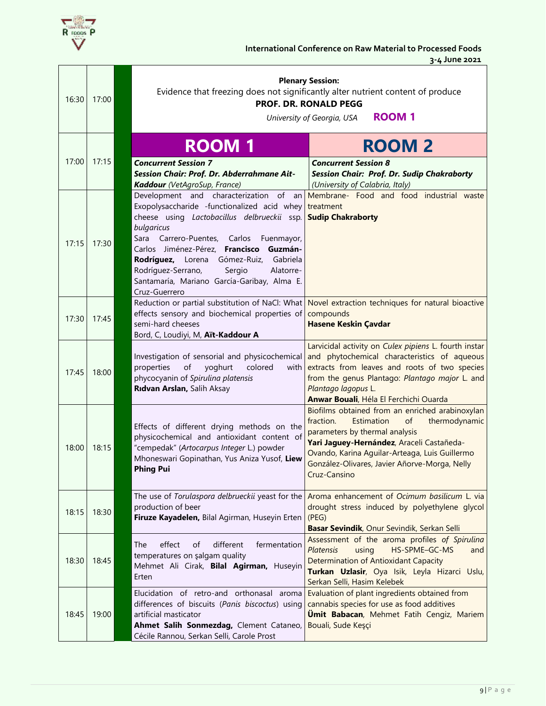

| 16:30 | 17:00 | <b>Plenary Session:</b><br>Evidence that freezing does not significantly alter nutrient content of produce<br><b>PROF. DR. RONALD PEGG</b><br><b>ROOM1</b><br>University of Georgia, USA                                                                                                                                                                          |                                                                                                                                                                                                                                                                                                     |  |  |
|-------|-------|-------------------------------------------------------------------------------------------------------------------------------------------------------------------------------------------------------------------------------------------------------------------------------------------------------------------------------------------------------------------|-----------------------------------------------------------------------------------------------------------------------------------------------------------------------------------------------------------------------------------------------------------------------------------------------------|--|--|
|       |       | <b>ROOM1</b>                                                                                                                                                                                                                                                                                                                                                      | <b>ROOM 2</b>                                                                                                                                                                                                                                                                                       |  |  |
| 17:00 | 17:15 | <b>Concurrent Session 7</b><br>Session Chair: Prof. Dr. Abderrahmane Ait-<br>Kaddour (VetAgroSup, France)                                                                                                                                                                                                                                                         | <b>Concurrent Session 8</b><br>Session Chair: Prof. Dr. Sudip Chakraborty<br>(University of Calabria, Italy)                                                                                                                                                                                        |  |  |
| 17:15 | 17:30 | Exopolysaccharide -functionalized acid whey<br>cheese using Lactobacillus delbrueckii ssp.<br>bulgaricus<br>Sara Carrero-Puentes, Carlos<br>Fuenmayor,<br>Carlos Jiménez-Pérez, Francisco<br>Guzmán-<br>Gabriela<br>Rodríguez, Lorena<br>Gómez-Ruiz,<br>Rodríguez-Serrano,<br>Sergio<br>Alatorre-<br>Santamaría, Mariano García-Garibay, Alma E.<br>Cruz-Guerrero | Development and characterization of an Membrane- Food and food industrial waste<br>treatment<br><b>Sudip Chakraborty</b>                                                                                                                                                                            |  |  |
| 17:30 | 17:45 | Reduction or partial substitution of NaCl: What<br>effects sensory and biochemical properties of<br>semi-hard cheeses<br>Bord, C, Loudiyi, M, Aït-Kaddour A                                                                                                                                                                                                       | Novel extraction techniques for natural bioactive<br>compounds<br><b>Hasene Keskin Çavdar</b>                                                                                                                                                                                                       |  |  |
| 17:45 | 18:00 | Investigation of sensorial and physicochemical<br>of<br>properties<br>yoghurt<br>colored<br>with<br>phycocyanin of Spirulina platensis<br>Ridvan Arslan, Salih Aksay                                                                                                                                                                                              | Larvicidal activity on Culex pipiens L. fourth instar<br>and phytochemical characteristics of aqueous<br>extracts from leaves and roots of two species<br>from the genus Plantago: Plantago major L. and<br>Plantago lagopus L.<br>Anwar Bouali, Héla El Ferchichi Ouarda                           |  |  |
| 18:00 | 18:15 | Effects of different drying methods on the<br>physicochemical and antioxidant content of<br>"cempedak" (Artocarpus Integer L.) powder<br>Mhoneswari Gopinathan, Yus Aniza Yusof, Liew<br><b>Phing Pui</b>                                                                                                                                                         | Biofilms obtained from an enriched arabinoxylan<br>of<br>thermodynamic<br>fraction.<br>Estimation<br>parameters by thermal analysis<br>Yari Jaguey-Hernández, Araceli Castañeda-<br>Ovando, Karina Aguilar-Arteaga, Luis Guillermo<br>González-Olivares, Javier Añorve-Morga, Nelly<br>Cruz-Cansino |  |  |
| 18:15 | 18:30 | production of beer<br>Firuze Kayadelen, Bilal Agirman, Huseyin Erten                                                                                                                                                                                                                                                                                              | The use of Torulaspora delbrueckii yeast for the <b>Aroma</b> enhancement of Ocimum basilicum L. via<br>drought stress induced by polyethylene glycol<br>(PEG)<br>Basar Sevindik, Onur Sevindik, Serkan Selli                                                                                       |  |  |
| 18:30 | 18:45 | effect<br>different<br>The<br>of<br>fermentation<br>temperatures on şalgam quality<br>Mehmet Ali Cirak, Bilal Agirman, Huseyin<br>Erten                                                                                                                                                                                                                           | Assessment of the aroma profiles of Spirulina<br><b>Platensis</b><br>HS-SPME-GC-MS<br>using<br>and<br><b>Determination of Antioxidant Capacity</b><br>Turkan Uzlasir, Oya Isik, Leyla Hizarci Uslu,<br>Serkan Selli, Hasim Kelebek                                                                  |  |  |
| 18:45 | 19:00 | Elucidation of retro-and orthonasal aroma<br>differences of biscuits (Panis biscoctus) using<br>artificial masticator<br>Ahmet Salih Sonmezdag, Clement Cataneo,<br>Cécile Rannou, Serkan Selli, Carole Prost                                                                                                                                                     | Evaluation of plant ingredients obtained from<br>cannabis species for use as food additives<br><b>Ümit Babacan</b> , Mehmet Fatih Cengiz, Mariem<br>Bouali, Sude Keşçi                                                                                                                              |  |  |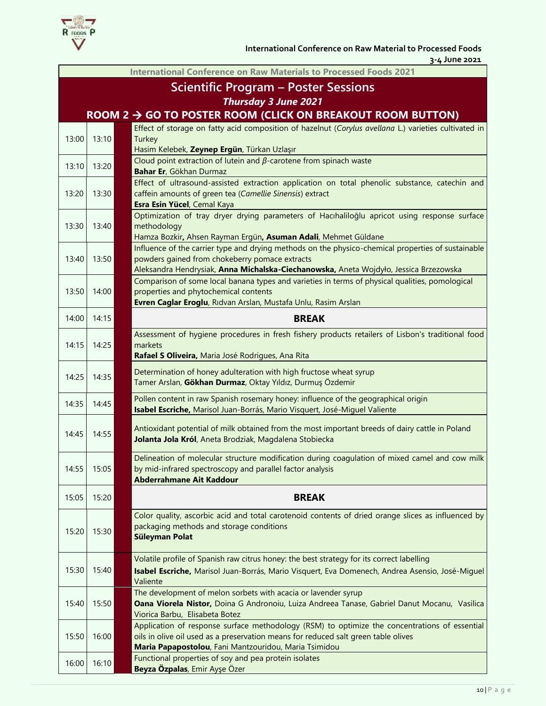

**International Conference on Raw Materials to Processed Foods 2021 Scientific Program – Poster Sessions** *Thursday 3 June 2021*  **ROOM 2** → **GO TO POSTER ROOM (CLICK ON BREAKOUT ROOM BUTTON)** 13:00 13:10 Effect of storage on fatty acid composition of hazelnut (*Corylus avellana* L.) varieties cultivated in **Turkey** Hasim Kelebek, **Zeynep Ergün**, Türkan Uzlaşır 13:10 13:20 Cloud point extraction of lutein and *β*-carotene from spinach waste **Bahar Er**, Gökhan Durmaz 13:20 13:30 Effect of ultrasound-assisted extraction application on total phenolic substance, catechin and caffein amounts of green tea (*Camellie Sinensis*) extract **Esra Esin Yücel**, Cemal Kaya 13:30 13:40 Optimization of tray dryer drying parameters of Hacıhaliloğlu apricot using response surface methodology Hamza Bozkir**,** Ahsen Rayman Ergün**, Asuman Adali**, Mehmet Güldane 13:40 13:50 Influence of the carrier type and drying methods on the physico-chemical properties of sustainable powders gained from chokeberry pomace extracts Aleksandra Hendrysiak, **Anna Michalska-Ciechanowska,** Aneta Wojdyło, Jessica Brzezowska 13:50 14:00 Comparison of some local banana types and varieties in terms of physical qualities, pomological properties and phytochemical contents **Evren Caglar Eroglu**, Rıdvan Arslan, Mustafa Unlu, Rasim Arslan 14:00 14:15 **BREAK** 14:15 14:25 Assessment of hygiene procedures in fresh fishery products retailers of Lisbon's traditional food markets **Rafael S Oliveira,** Maria José Rodrigues, Ana Rita 14:25 14:35 Determination of honey adulteration with high fructose wheat syrup Tamer Arslan, **Gökhan Durmaz**, Oktay Yıldız, Durmuş Özdemir 14:35 14:45 Pollen content in raw Spanish rosemary honey: influence of the geographical origin **Isabel Escriche,** Marisol Juan-Borrás, Mario Visquert, José-Miguel Valiente 14:45 14:55 Antioxidant potential of milk obtained from the most important breeds of dairy cattle in Poland **Jolanta Jola Król**, Aneta Brodziak, Magdalena Stobiecka 14:55 15:05 Delineation of molecular structure modification during coagulation of mixed camel and cow milk by mid-infrared spectroscopy and parallel factor analysis **Abderrahmane Ait Kaddour** 15:05 15:20 **BREAK** 15:20 15:30 Color quality, ascorbic acid and total carotenoid contents of dried orange slices as influenced by packaging methods and storage conditions **Süleyman Polat** 15:30 15:40 Volatile profile of Spanish raw citrus honey: the best strategy for its correct labelling **Isabel Escriche,** Marisol Juan-Borrás, Mario Visquert, Eva Domenech, Andrea Asensio, José-Miguel Valiente 15:40 15:50 The development of melon sorbets with acacia or lavender syrup **Oana Viorela Nistor,** Doina G Andronoiu, Luiza Andreea Tanase, Gabriel Danut Mocanu, Vasilica Viorica Barbu, Elisabeta Botez 15:50 16:00 Application of response surface methodology (RSM) to optimize the concentrations of essential oils in olive oil used as a preservation means for reduced salt green table olives **Maria Papapostolou**, Fani Mantzouridou, Maria Tsimidou 16:00 16:10 **Functional properties of soy and pea protein isolates Beyza Özpalas**, Emir Ayşe Özer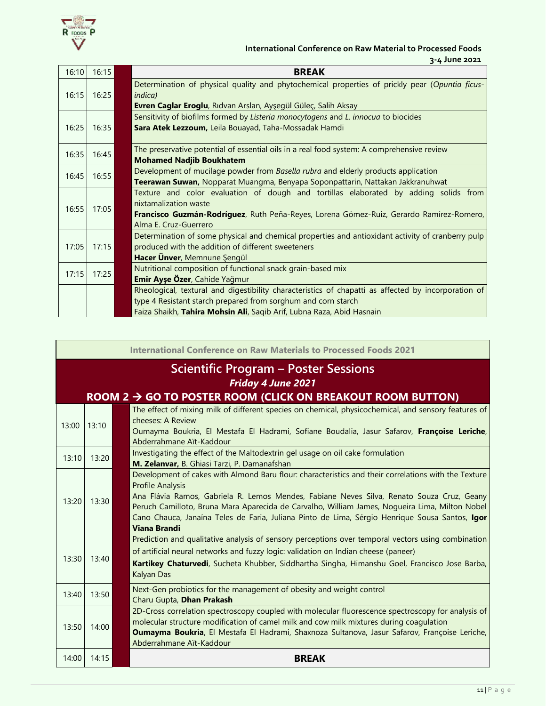

#### **International Conference on Raw Material to Processed Foods 3-4 June 2021**

| 16:10 | 16:15 | <b>BREAK</b>                                                                                                      |
|-------|-------|-------------------------------------------------------------------------------------------------------------------|
| 16:15 | 16:25 | Determination of physical quality and phytochemical properties of prickly pear (Opuntia ficus-<br><i>indica</i> ) |
|       |       | Evren Caglar Eroglu, Rıdvan Arslan, Ayşegül Güleç, Salih Aksay                                                    |
|       |       | Sensitivity of biofilms formed by Listeria monocytogens and L. innocua to biocides                                |
| 16:25 | 16:35 | Sara Atek Lezzoum, Leila Bouayad, Taha-Mossadak Hamdi                                                             |
| 16:35 | 16:45 | The preservative potential of essential oils in a real food system: A comprehensive review                        |
|       |       | <b>Mohamed Nadjib Boukhatem</b>                                                                                   |
| 16:45 | 16:55 | Development of mucilage powder from Basella rubra and elderly products application                                |
|       |       | Teerawan Suwan, Nopparat Muangma, Benyapa Soponpattarin, Nattakan Jakkranuhwat                                    |
|       |       | Texture and color evaluation of dough and tortillas elaborated by adding solids from                              |
| 16:55 | 17:05 | nixtamalization waste                                                                                             |
|       |       | Francisco Guzmán-Rodríguez, Ruth Peña-Reyes, Lorena Gómez-Ruiz, Gerardo Ramírez-Romero,                           |
|       |       | Alma E. Cruz-Guerrero                                                                                             |
|       |       | Determination of some physical and chemical properties and antioxidant activity of cranberry pulp                 |
| 17:05 | 17:15 | produced with the addition of different sweeteners                                                                |
|       |       | Hacer Ünver, Memnune Şengül                                                                                       |
| 17:15 | 17:25 | Nutritional composition of functional snack grain-based mix                                                       |
|       |       | Emir Ayşe Özer, Cahide Yağmur                                                                                     |
|       |       | Rheological, textural and digestibility characteristics of chapatti as affected by incorporation of               |
|       |       | type 4 Resistant starch prepared from sorghum and corn starch                                                     |
|       |       | Faiza Shaikh, Tahira Mohsin Ali, Saqib Arif, Lubna Raza, Abid Hasnain                                             |

|       | <b>International Conference on Raw Materials to Processed Foods 2021</b> |  |                                                                                                                                                                                                                                                                                                                                                                                                                                                         |  |  |
|-------|--------------------------------------------------------------------------|--|---------------------------------------------------------------------------------------------------------------------------------------------------------------------------------------------------------------------------------------------------------------------------------------------------------------------------------------------------------------------------------------------------------------------------------------------------------|--|--|
|       | Scientific Program – Poster Sessions                                     |  |                                                                                                                                                                                                                                                                                                                                                                                                                                                         |  |  |
|       |                                                                          |  | <b>Friday 4 June 2021</b>                                                                                                                                                                                                                                                                                                                                                                                                                               |  |  |
|       |                                                                          |  | ROOM 2 $\rightarrow$ GO TO POSTER ROOM (CLICK ON BREAKOUT ROOM BUTTON)                                                                                                                                                                                                                                                                                                                                                                                  |  |  |
| 13:00 | 13:10                                                                    |  | The effect of mixing milk of different species on chemical, physicochemical, and sensory features of<br>cheeses: A Review<br>Oumayma Boukria, El Mestafa El Hadrami, Sofiane Boudalia, Jasur Safarov, Françoise Leriche,<br>Abderrahmane Aït-Kaddour                                                                                                                                                                                                    |  |  |
| 13:10 | 13:20                                                                    |  | Investigating the effect of the Maltodextrin gel usage on oil cake formulation<br>M. Zelanvar, B. Ghiasi Tarzi, P. Damanafshan                                                                                                                                                                                                                                                                                                                          |  |  |
| 13:20 | 13:30                                                                    |  | Development of cakes with Almond Baru flour: characteristics and their correlations with the Texture<br><b>Profile Analysis</b><br>Ana Flávia Ramos, Gabriela R. Lemos Mendes, Fabiane Neves Silva, Renato Souza Cruz, Geany<br>Peruch Camilloto, Bruna Mara Aparecida de Carvalho, William James, Nogueira Lima, Milton Nobel<br>Cano Chauca, Janaína Teles de Faria, Juliana Pinto de Lima, Sérgio Henrique Sousa Santos, Igor<br><b>Viana Brandi</b> |  |  |
| 13:30 | 13:40                                                                    |  | Prediction and qualitative analysis of sensory perceptions over temporal vectors using combination<br>of artificial neural networks and fuzzy logic: validation on Indian cheese (paneer)<br>Kartikey Chaturvedi, Sucheta Khubber, Siddhartha Singha, Himanshu Goel, Francisco Jose Barba,<br>Kalyan Das                                                                                                                                                |  |  |
| 13:40 | 13:50                                                                    |  | Next-Gen probiotics for the management of obesity and weight control<br>Charu Gupta, Dhan Prakash                                                                                                                                                                                                                                                                                                                                                       |  |  |
| 13:50 | 14:00                                                                    |  | 2D-Cross correlation spectroscopy coupled with molecular fluorescence spectroscopy for analysis of<br>molecular structure modification of camel milk and cow milk mixtures during coagulation<br>Oumayma Boukria, El Mestafa El Hadrami, Shaxnoza Sultanova, Jasur Safarov, Françoise Leriche,<br>Abderrahmane Aït-Kaddour                                                                                                                              |  |  |
| 14:00 | 14:15                                                                    |  | <b>BREAK</b>                                                                                                                                                                                                                                                                                                                                                                                                                                            |  |  |